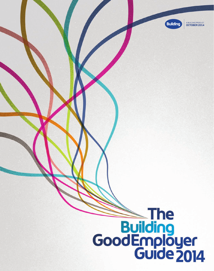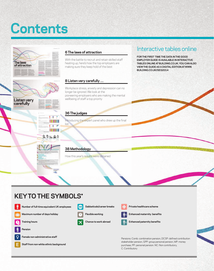# **Contents**

**Training hours** 

**Pension**

Q



**Female non-administrative staff Staff from non-white ethnic background Chance to work abroad Enhanced paternity benefits** 

Pensions: Comb: combination pension, DCSP: defined contribution stakeholder pension, GPP: group personal pension, MP: money purchase, PP: personal pension. NC: Non contributory, C: Contributory